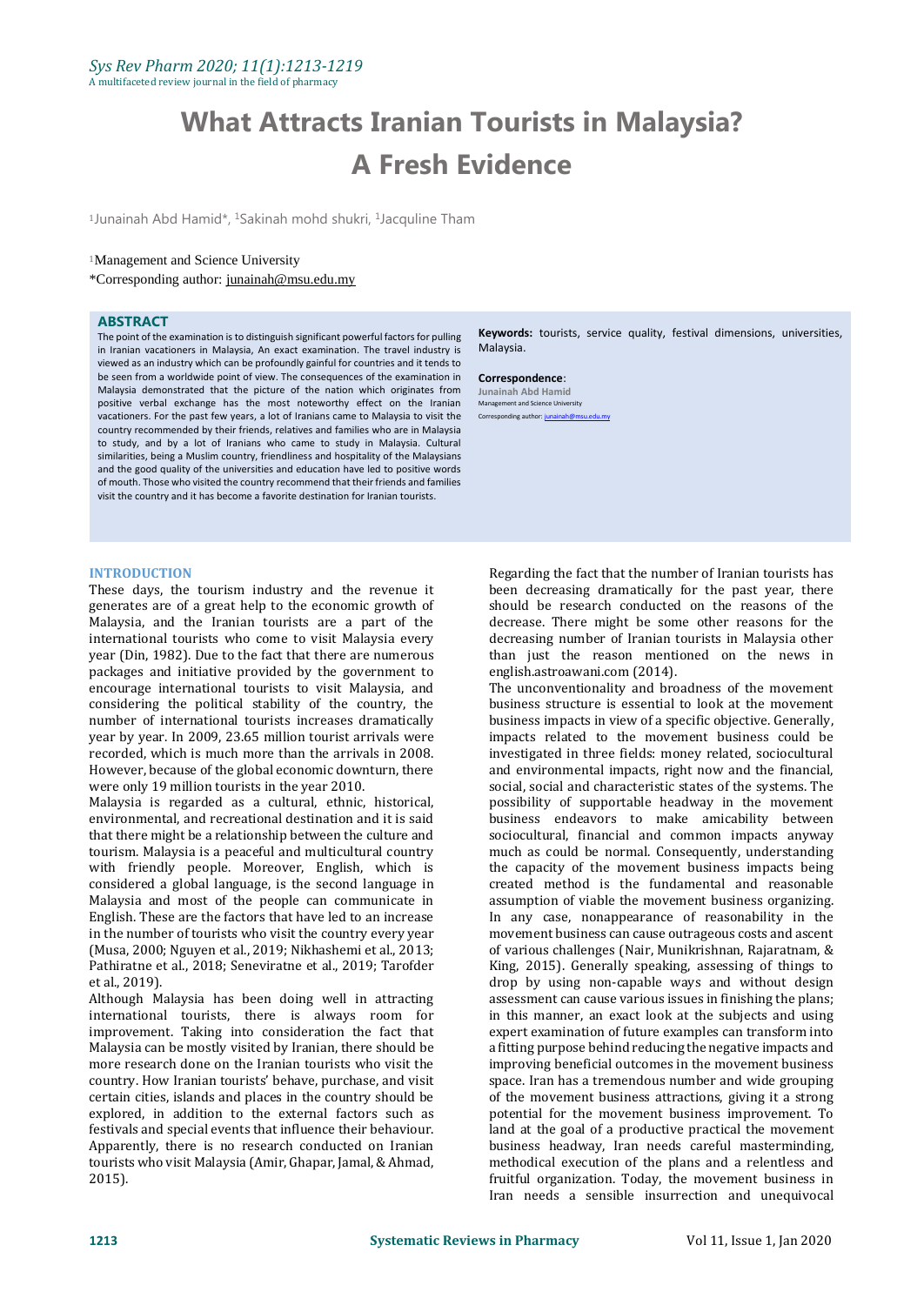# **What Attracts Iranian Tourists in Malaysia? A Fresh Evidence**

<sup>1</sup>Junainah Abd Hamid\*, <sup>1</sup>Sakinah mohd shukri, <sup>1</sup>Jacquline Tham

## <sup>1</sup>Management and Science University

\*Corresponding author: [junainah@msu.edu.my](mailto:mdgapar@msu.edu.my)

# **ABSTRACT**

The point of the examination is to distinguish significant powerful factors for pulling in Iranian vacationers in Malaysia, An exact examination. The travel industry is viewed as an industry which can be profoundly gainful for countries and it tends to be seen from a worldwide point of view. The consequences of the examination in Malaysia demonstrated that the picture of the nation which originates from positive verbal exchange has the most noteworthy effect on the Iranian vacationers. For the past few years, a lot of Iranians came to Malaysia to visit the country recommended by their friends, relatives and families who are in Malaysia to study, and by a lot of Iranians who came to study in Malaysia. Cultural similarities, being a Muslim country, friendliness and hospitality of the Malaysians and the good quality of the universities and education have led to positive words of mouth. Those who visited the country recommend that their friends and families visit the country and it has become a favorite destination for Iranian tourists.

#### **INTRODUCTION**

These days, the tourism industry and the revenue it generates are of a great help to the economic growth of Malaysia, and the Iranian tourists are a part of the international tourists who come to visit Malaysia every year (Din, 1982). Due to the fact that there are numerous packages and initiative provided by the government to encourage international tourists to visit Malaysia, and considering the political stability of the country, the number of international tourists increases dramatically year by year. In 2009, 23.65 million tourist arrivals were recorded, which is much more than the arrivals in 2008. However, because of the global economic downturn, there were only 19 million tourists in the year 2010.

Malaysia is regarded as a cultural, ethnic, historical, environmental, and recreational destination and it is said that there might be a relationship between the culture and tourism. Malaysia is a peaceful and multicultural country with friendly people. Moreover, English, which is considered a global language, is the second language in Malaysia and most of the people can communicate in English. These are the factors that have led to an increase in the number of tourists who visit the country every year (Musa, 2000; Nguyen et al., 2019; Nikhashemi et al., 2013; Pathiratne et al., 2018; Seneviratne et al., 2019; Tarofder et al., 2019).

Although Malaysia has been doing well in attracting international tourists, there is always room for improvement. Taking into consideration the fact that Malaysia can be mostly visited by Iranian, there should be more research done on the Iranian tourists who visit the country. How Iranian tourists' behave, purchase, and visit certain cities, islands and places in the country should be explored, in addition to the external factors such as festivals and special events that influence their behaviour. Apparently, there is no research conducted on Iranian tourists who visit Malaysia (Amir, Ghapar, Jamal, & Ahmad, 2015).

**Keywords:** tourists, service quality, festival dimensions, universities, Malaysia.

**Correspondence**: **Junainah Abd Hamid**<br>Management and Science University Management and Scie Corresponding author: junain

Regarding the fact that the number of Iranian tourists has been decreasing dramatically for the past year, there should be research conducted on the reasons of the decrease. There might be some other reasons for the decreasing number of Iranian tourists in Malaysia other than just the reason mentioned on the news in english.astroawani.com (2014).

The unconventionality and broadness of the movement business structure is essential to look at the movement business impacts in view of a specific objective. Generally, impacts related to the movement business could be investigated in three fields: money related, sociocultural and environmental impacts, right now and the financial, social, social and characteristic states of the systems. The possibility of supportable headway in the movement business endeavors to make amicability between sociocultural, financial and common impacts anyway much as could be normal. Consequently, understanding the capacity of the movement business impacts being created method is the fundamental and reasonable assumption of viable the movement business organizing. In any case, nonappearance of reasonability in the movement business can cause outrageous costs and ascent of various challenges (Nair, Munikrishnan, Rajaratnam, & King, 2015). Generally speaking, assessing of things to drop by using non-capable ways and without design assessment can cause various issues in finishing the plans; in this manner, an exact look at the subjects and using expert examination of future examples can transform into a fitting purpose behind reducing the negative impacts and improving beneficial outcomes in the movement business space. Iran has a tremendous number and wide grouping of the movement business attractions, giving it a strong potential for the movement business improvement. To land at the goal of a productive practical the movement business headway, Iran needs careful masterminding, methodical execution of the plans and a relentless and fruitful organization. Today, the movement business in Iran needs a sensible insurrection and unequivocal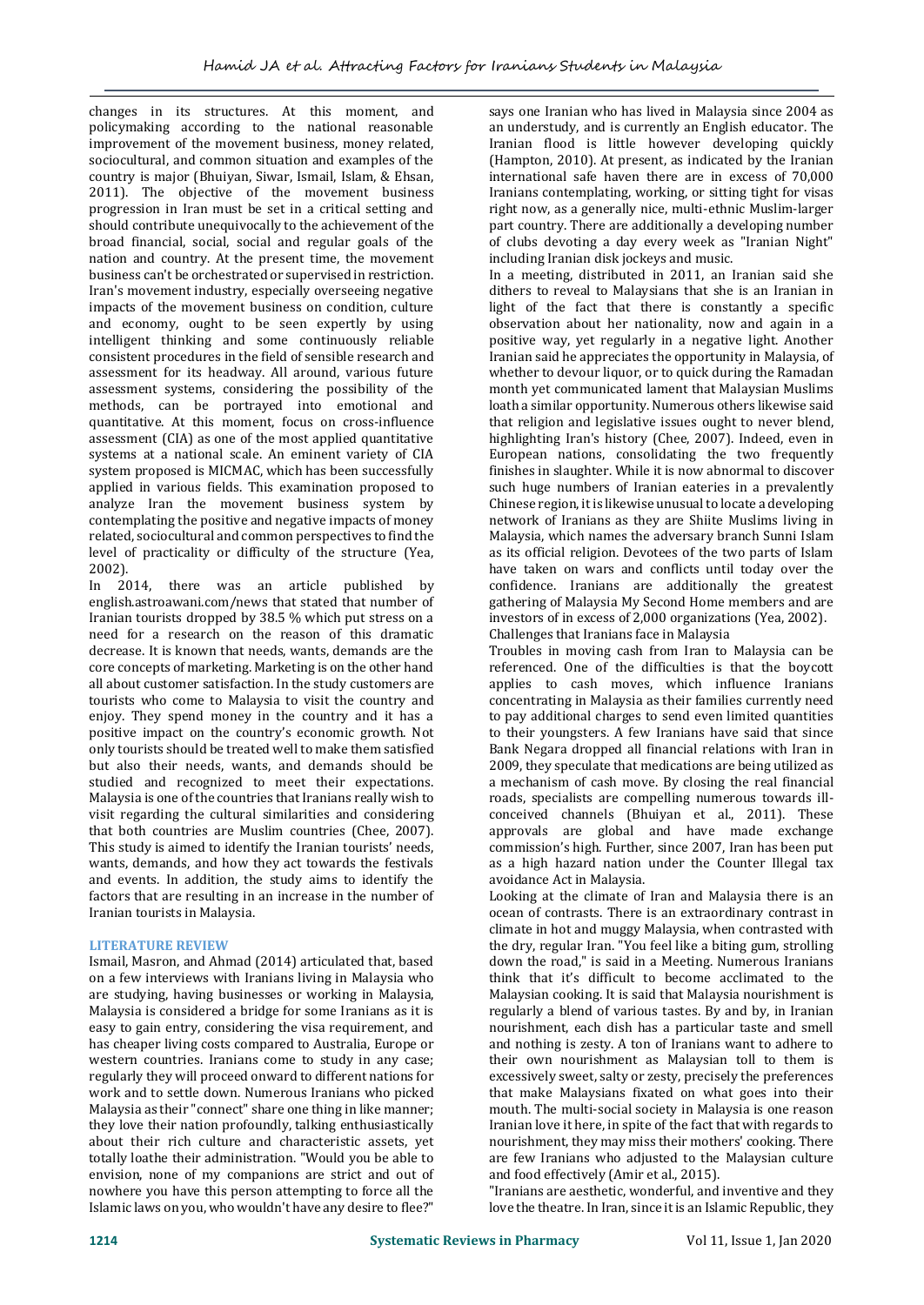changes in its structures. At this moment, and policymaking according to the national reasonable improvement of the movement business, money related, sociocultural, and common situation and examples of the country is major (Bhuiyan, Siwar, Ismail, Islam, & Ehsan, 2011). The objective of the movement business progression in Iran must be set in a critical setting and should contribute unequivocally to the achievement of the broad financial, social, social and regular goals of the nation and country. At the present time, the movement business can't be orchestrated or supervised in restriction. Iran's movement industry, especially overseeing negative impacts of the movement business on condition, culture and economy, ought to be seen expertly by using intelligent thinking and some continuously reliable consistent procedures in the field of sensible research and assessment for its headway. All around, various future assessment systems, considering the possibility of the methods, can be portrayed into emotional and quantitative. At this moment, focus on cross-influence assessment (CIA) as one of the most applied quantitative systems at a national scale. An eminent variety of CIA system proposed is MICMAC, which has been successfully applied in various fields. This examination proposed to analyze Iran the movement business system by contemplating the positive and negative impacts of money related, sociocultural and common perspectives to find the level of practicality or difficulty of the structure (Yea, 2002).

In 2014, there was an article published by english.astroawani.com/news that stated that number of Iranian tourists dropped by 38.5 % which put stress on a need for a research on the reason of this dramatic decrease. It is known that needs, wants, demands are the core concepts of marketing. Marketing is on the other hand all about customer satisfaction. In the study customers are tourists who come to Malaysia to visit the country and enjoy. They spend money in the country and it has a positive impact on the country's economic growth. Not only tourists should be treated well to make them satisfied but also their needs, wants, and demands should be studied and recognized to meet their expectations. Malaysia is one of the countries that Iranians really wish to visit regarding the cultural similarities and considering that both countries are Muslim countries (Chee, 2007). This study is aimed to identify the Iranian tourists' needs, wants, demands, and how they act towards the festivals and events. In addition, the study aims to identify the factors that are resulting in an increase in the number of Iranian tourists in Malaysia.

# **LITERATURE REVIEW**

Ismail, Masron, and Ahmad (2014) articulated that, based on a few interviews with Iranians living in Malaysia who are studying, having businesses or working in Malaysia, Malaysia is considered a bridge for some Iranians as it is easy to gain entry, considering the visa requirement, and has cheaper living costs compared to Australia, Europe or western countries. Iranians come to study in any case; regularly they will proceed onward to different nations for work and to settle down. Numerous Iranians who picked Malaysia as their "connect" share one thing in like manner; they love their nation profoundly, talking enthusiastically about their rich culture and characteristic assets, yet totally loathe their administration. "Would you be able to envision, none of my companions are strict and out of nowhere you have this person attempting to force all the Islamic laws on you, who wouldn't have any desire to flee?"

says one Iranian who has lived in Malaysia since 2004 as an understudy, and is currently an English educator. The Iranian flood is little however developing quickly (Hampton, 2010). At present, as indicated by the Iranian international safe haven there are in excess of 70,000 Iranians contemplating, working, or sitting tight for visas right now, as a generally nice, multi-ethnic Muslim-larger part country. There are additionally a developing number of clubs devoting a day every week as "Iranian Night" including Iranian disk jockeys and music.

In a meeting, distributed in 2011, an Iranian said she dithers to reveal to Malaysians that she is an Iranian in light of the fact that there is constantly a specific observation about her nationality, now and again in a positive way, yet regularly in a negative light. Another Iranian said he appreciates the opportunity in Malaysia, of whether to devour liquor, or to quick during the Ramadan month yet communicated lament that Malaysian Muslims loath a similar opportunity. Numerous others likewise said that religion and legislative issues ought to never blend, highlighting Iran's history (Chee, 2007). Indeed, even in European nations, consolidating the two frequently finishes in slaughter. While it is now abnormal to discover such huge numbers of Iranian eateries in a prevalently Chinese region, it is likewise unusual to locate a developing network of Iranians as they are Shiite Muslims living in Malaysia, which names the adversary branch Sunni Islam as its official religion. Devotees of the two parts of Islam have taken on wars and conflicts until today over the confidence. Iranians are additionally the greatest gathering of Malaysia My Second Home members and are investors of in excess of 2,000 organizations (Yea, 2002). Challenges that Iranians face in Malaysia

Troubles in moving cash from Iran to Malaysia can be referenced. One of the difficulties is that the boycott applies to cash moves, which influence Iranians concentrating in Malaysia as their families currently need to pay additional charges to send even limited quantities to their youngsters. A few Iranians have said that since Bank Negara dropped all financial relations with Iran in 2009, they speculate that medications are being utilized as a mechanism of cash move. By closing the real financial roads, specialists are compelling numerous towards illconceived channels (Bhuiyan et al., 2011). These approvals are global and have made exchange commission's high. Further, since 2007, Iran has been put as a high hazard nation under the Counter Illegal tax avoidance Act in Malaysia.

Looking at the climate of Iran and Malaysia there is an ocean of contrasts. There is an extraordinary contrast in climate in hot and muggy Malaysia, when contrasted with the dry, regular Iran. "You feel like a biting gum, strolling down the road," is said in a Meeting. Numerous Iranians think that it's difficult to become acclimated to the Malaysian cooking. It is said that Malaysia nourishment is regularly a blend of various tastes. By and by, in Iranian nourishment, each dish has a particular taste and smell and nothing is zesty. A ton of Iranians want to adhere to their own nourishment as Malaysian toll to them is excessively sweet, salty or zesty, precisely the preferences that make Malaysians fixated on what goes into their mouth. The multi-social society in Malaysia is one reason Iranian love it here, in spite of the fact that with regards to nourishment, they may miss their mothers' cooking. There are few Iranians who adjusted to the Malaysian culture and food effectively (Amir et al., 2015).

"Iranians are aesthetic, wonderful, and inventive and they love the theatre. In Iran, since it is an Islamic Republic, they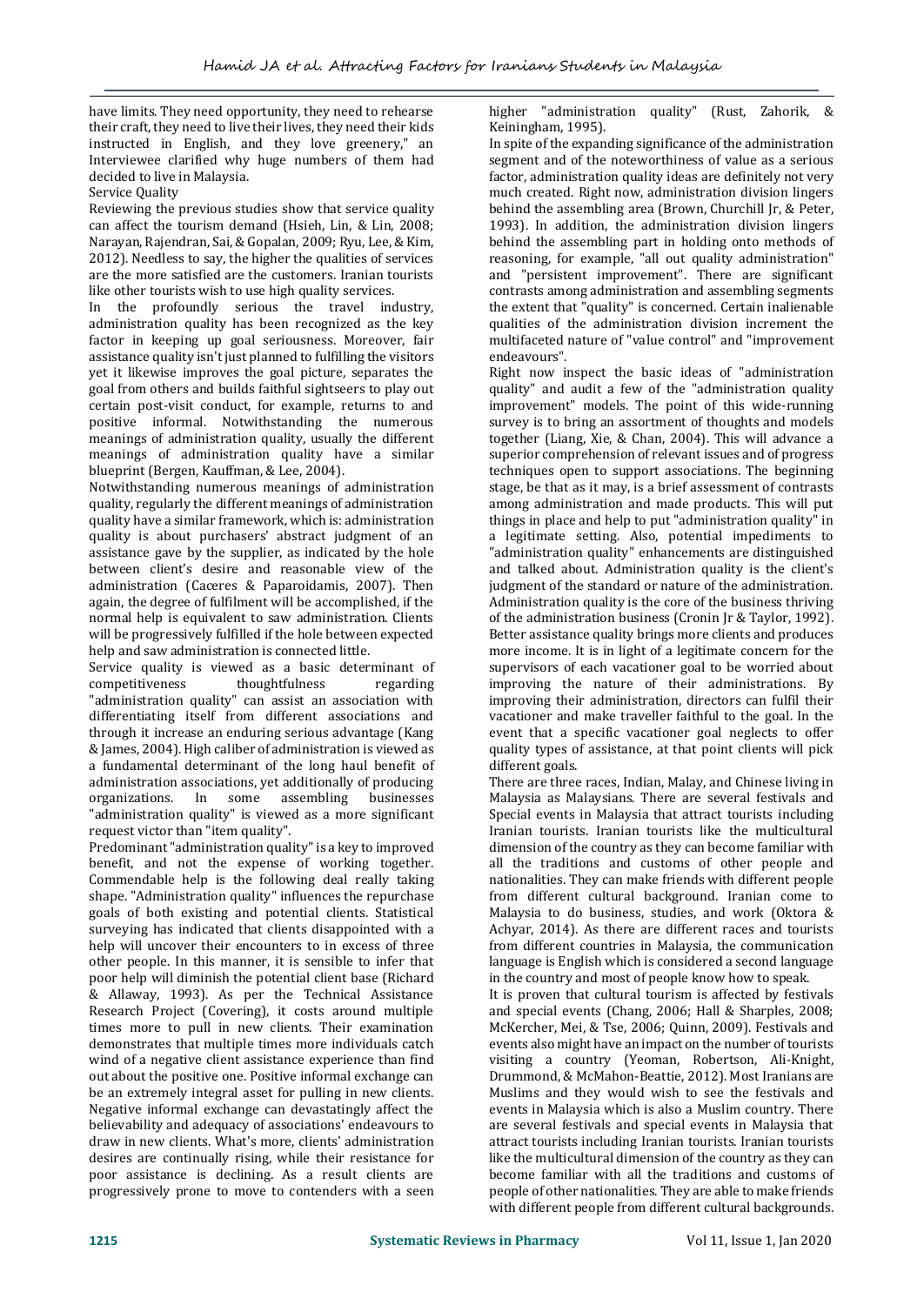have limits. They need opportunity, they need to rehearse their craft, they need to live their lives, they need their kids instructed in English, and they love greenery," an Interviewee clarified why huge numbers of them had decided to live in Malaysia.

Service Quality

Reviewing the previous studies show that service quality can affect the tourism demand (Hsieh, Lin, & Lin, 2008; Narayan, Rajendran, Sai, & Gopalan, 2009; Ryu, Lee, & Kim, 2012). Needless to say, the higher the qualities of services are the more satisfied are the customers. Iranian tourists like other tourists wish to use high quality services.

In the profoundly serious the travel industry, administration quality has been recognized as the key factor in keeping up goal seriousness. Moreover, fair assistance quality isn't just planned to fulfilling the visitors yet it likewise improves the goal picture, separates the goal from others and builds faithful sightseers to play out certain post-visit conduct, for example, returns to and positive informal. Notwithstanding the numerous meanings of administration quality, usually the different meanings of administration quality have a similar blueprint (Bergen, Kauffman, & Lee, 2004).

Notwithstanding numerous meanings of administration quality, regularly the different meanings of administration quality have a similar framework, which is: administration quality is about purchasers' abstract judgment of an assistance gave by the supplier, as indicated by the hole between client's desire and reasonable view of the administration (Caceres & Paparoidamis, 2007). Then again, the degree of fulfilment will be accomplished, if the normal help is equivalent to saw administration. Clients will be progressively fulfilled if the hole between expected help and saw administration is connected little.

Service quality is viewed as a basic determinant of competitiveness thoughtfulness regarding "administration quality" can assist an association with differentiating itself from different associations and through it increase an enduring serious advantage (Kang & James, 2004). High caliber of administration is viewed as a fundamental determinant of the long haul benefit of administration associations, yet additionally of producing organizations. In some assembling businesses "administration quality" is viewed as a more significant request victor than "item quality".

Predominant "administration quality" is a key to improved benefit, and not the expense of working together. Commendable help is the following deal really taking shape. "Administration quality" influences the repurchase goals of both existing and potential clients. Statistical surveying has indicated that clients disappointed with a help will uncover their encounters to in excess of three other people. In this manner, it is sensible to infer that poor help will diminish the potential client base (Richard & Allaway, 1993). As per the Technical Assistance Research Project (Covering), it costs around multiple times more to pull in new clients. Their examination demonstrates that multiple times more individuals catch wind of a negative client assistance experience than find out about the positive one. Positive informal exchange can be an extremely integral asset for pulling in new clients. Negative informal exchange can devastatingly affect the believability and adequacy of associations' endeavours to draw in new clients. What's more, clients' administration desires are continually rising, while their resistance for poor assistance is declining. As a result clients are progressively prone to move to contenders with a seen

higher "administration quality" (Rust, Zahorik, & Keiningham, 1995).

In spite of the expanding significance of the administration segment and of the noteworthiness of value as a serious factor, administration quality ideas are definitely not very much created. Right now, administration division lingers behind the assembling area (Brown, Churchill Jr, & Peter, 1993). In addition, the administration division lingers behind the assembling part in holding onto methods of reasoning, for example, "all out quality administration" and "persistent improvement". There are significant contrasts among administration and assembling segments the extent that "quality" is concerned. Certain inalienable qualities of the administration division increment the multifaceted nature of "value control" and "improvement endeavours".

Right now inspect the basic ideas of "administration quality" and audit a few of the "administration quality improvement" models. The point of this wide-running survey is to bring an assortment of thoughts and models together (Liang, Xie, & Chan, 2004). This will advance a superior comprehension of relevant issues and of progress techniques open to support associations. The beginning stage, be that as it may, is a brief assessment of contrasts among administration and made products. This will put things in place and help to put "administration quality" in a legitimate setting. Also, potential impediments to "administration quality" enhancements are distinguished and talked about. Administration quality is the client's judgment of the standard or nature of the administration. Administration quality is the core of the business thriving of the administration business (Cronin Jr & Taylor, 1992). Better assistance quality brings more clients and produces more income. It is in light of a legitimate concern for the supervisors of each vacationer goal to be worried about improving the nature of their administrations. By improving their administration, directors can fulfil their vacationer and make traveller faithful to the goal. In the event that a specific vacationer goal neglects to offer quality types of assistance, at that point clients will pick different goals.

There are three races, Indian, Malay, and Chinese living in Malaysia as Malaysians. There are several festivals and Special events in Malaysia that attract tourists including Iranian tourists. Iranian tourists like the multicultural dimension of the country as they can become familiar with all the traditions and customs of other people and nationalities. They can make friends with different people from different cultural background. Iranian come to Malaysia to do business, studies, and work (Oktora & Achyar, 2014). As there are different races and tourists from different countries in Malaysia, the communication language is English which is considered a second language in the country and most of people know how to speak.

It is proven that cultural tourism is affected by festivals and special events (Chang, 2006; Hall & Sharples, 2008; McKercher, Mei, & Tse, 2006; Quinn, 2009). Festivals and events also might have an impact on the number of tourists visiting a country (Yeoman, Robertson, Ali-Knight, Drummond, & McMahon-Beattie, 2012). Most Iranians are Muslims and they would wish to see the festivals and events in Malaysia which is also a Muslim country. There are several festivals and special events in Malaysia that attract tourists including Iranian tourists. Iranian tourists like the multicultural dimension of the country as they can become familiar with all the traditions and customs of people of other nationalities. They are able to make friends with different people from different cultural backgrounds.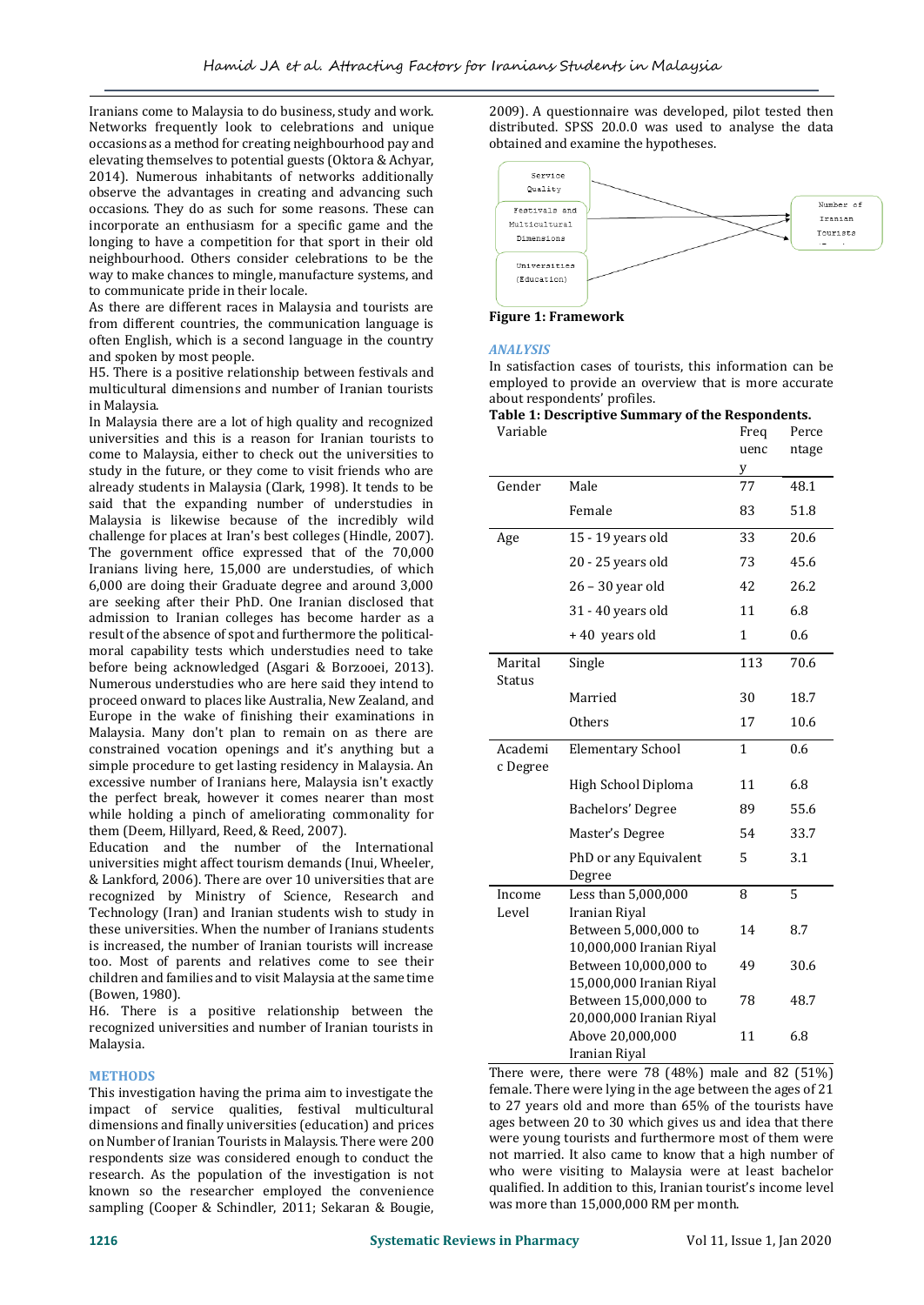Iranians come to Malaysia to do business, study and work. Networks frequently look to celebrations and unique occasions as a method for creating neighbourhood pay and elevating themselves to potential guests (Oktora & Achyar, 2014). Numerous inhabitants of networks additionally observe the advantages in creating and advancing such occasions. They do as such for some reasons. These can incorporate an enthusiasm for a specific game and the longing to have a competition for that sport in their old neighbourhood. Others consider celebrations to be the way to make chances to mingle, manufacture systems, and to communicate pride in their locale.

As there are different races in Malaysia and tourists are from different countries, the communication language is often English, which is a second language in the country and spoken by most people.

H5. There is a positive relationship between festivals and multicultural dimensions and number of Iranian tourists in Malaysia.

In Malaysia there are a lot of high quality and recognized universities and this is a reason for Iranian tourists to come to Malaysia, either to check out the universities to study in the future, or they come to visit friends who are already students in Malaysia (Clark, 1998). It tends to be said that the expanding number of understudies in Malaysia is likewise because of the incredibly wild challenge for places at Iran's best colleges (Hindle, 2007). The government office expressed that of the 70,000 Iranians living here, 15,000 are understudies, of which 6,000 are doing their Graduate degree and around 3,000 are seeking after their PhD. One Iranian disclosed that admission to Iranian colleges has become harder as a result of the absence of spot and furthermore the politicalmoral capability tests which understudies need to take before being acknowledged (Asgari & Borzooei, 2013). Numerous understudies who are here said they intend to proceed onward to places like Australia, New Zealand, and Europe in the wake of finishing their examinations in Malaysia. Many don't plan to remain on as there are constrained vocation openings and it's anything but a simple procedure to get lasting residency in Malaysia. An excessive number of Iranians here, Malaysia isn't exactly the perfect break, however it comes nearer than most while holding a pinch of ameliorating commonality for them (Deem, Hillyard, Reed, & Reed, 2007).

Education and the number of the International universities might affect tourism demands (Inui, Wheeler, & Lankford, 2006). There are over 10 universities that are recognized by Ministry of Science, Research and Technology (Iran) and Iranian students wish to study in these universities. When the number of Iranians students is increased, the number of Iranian tourists will increase too. Most of parents and relatives come to see their children and families and to visit Malaysia at the same time (Bowen, 1980).

H6. There is a positive relationship between the recognized universities and number of Iranian tourists in Malaysia.

## **METHODS**

This investigation having the prima aim to investigate the impact of service qualities, festival multicultural dimensions and finally universities (education) and prices on Number of Iranian Tourists in Malaysis. There were 200 respondents size was considered enough to conduct the research. As the population of the investigation is not known so the researcher employed the convenience sampling (Cooper & Schindler, 2011; Sekaran & Bougie,

2009). A questionnaire was developed, pilot tested then distributed. SPSS 20.0.0 was used to analyse the data obtained and examine the hypotheses.



**Figure 1: Framework**

#### *ANALYSIS*

In satisfaction cases of tourists, this information can be employed to provide an overview that is more accurate about respondents' profiles.

#### **Table 1: Descriptive Summary of the Respondents.**

| Variable            |                                                   | Freq<br>uenc<br>y | Perce<br>ntage |
|---------------------|---------------------------------------------------|-------------------|----------------|
| Gender              | Male                                              | 77                | 48.1           |
|                     | Female                                            | 83                | 51.8           |
| Age                 | 15 - 19 years old                                 |                   | 20.6           |
|                     | 20 - 25 years old                                 | 73                | 45.6           |
|                     | 26 - 30 year old                                  | 42                | 26.2           |
|                     | 31 - 40 years old                                 | 11                | 6.8            |
|                     | +40 years old                                     | 1                 | 0.6            |
| Marital<br>Status   | Single                                            | 113               | 70.6           |
|                     | Married                                           | 30                | 18.7           |
|                     | Others                                            | 17                | 10.6           |
| Academi<br>c Degree | <b>Elementary School</b>                          | $\mathbf{1}$      | 0.6            |
|                     | High School Diploma                               | 11                | 6.8            |
|                     | Bachelors' Degree                                 | 89                | 55.6           |
|                     | Master's Degree                                   | 54                | 33.7           |
|                     | PhD or any Equivalent<br>Degree                   | 5                 | 3.1            |
| Income<br>Level     | Less than 5,000,000<br>Iranian Riyal              | 8                 | 5              |
|                     | Between 5,000,000 to<br>10,000,000 Iranian Riyal  | 14                | 8.7            |
|                     | Between 10,000,000 to<br>15,000,000 Iranian Riyal | 49                | 30.6           |
|                     | Between 15,000,000 to<br>20,000,000 Iranian Riyal | 78                | 48.7           |
|                     | Above 20,000,000<br>Iranian Riyal                 | 11                | 6.8            |

There were, there were 78 (48%) male and 82 (51%) female. There were lying in the age between the ages of 21 to 27 years old and more than 65% of the tourists have ages between 20 to 30 which gives us and idea that there were young tourists and furthermore most of them were not married. It also came to know that a high number of who were visiting to Malaysia were at least bachelor qualified. In addition to this, Iranian tourist's income level was more than 15,000,000 RM per month.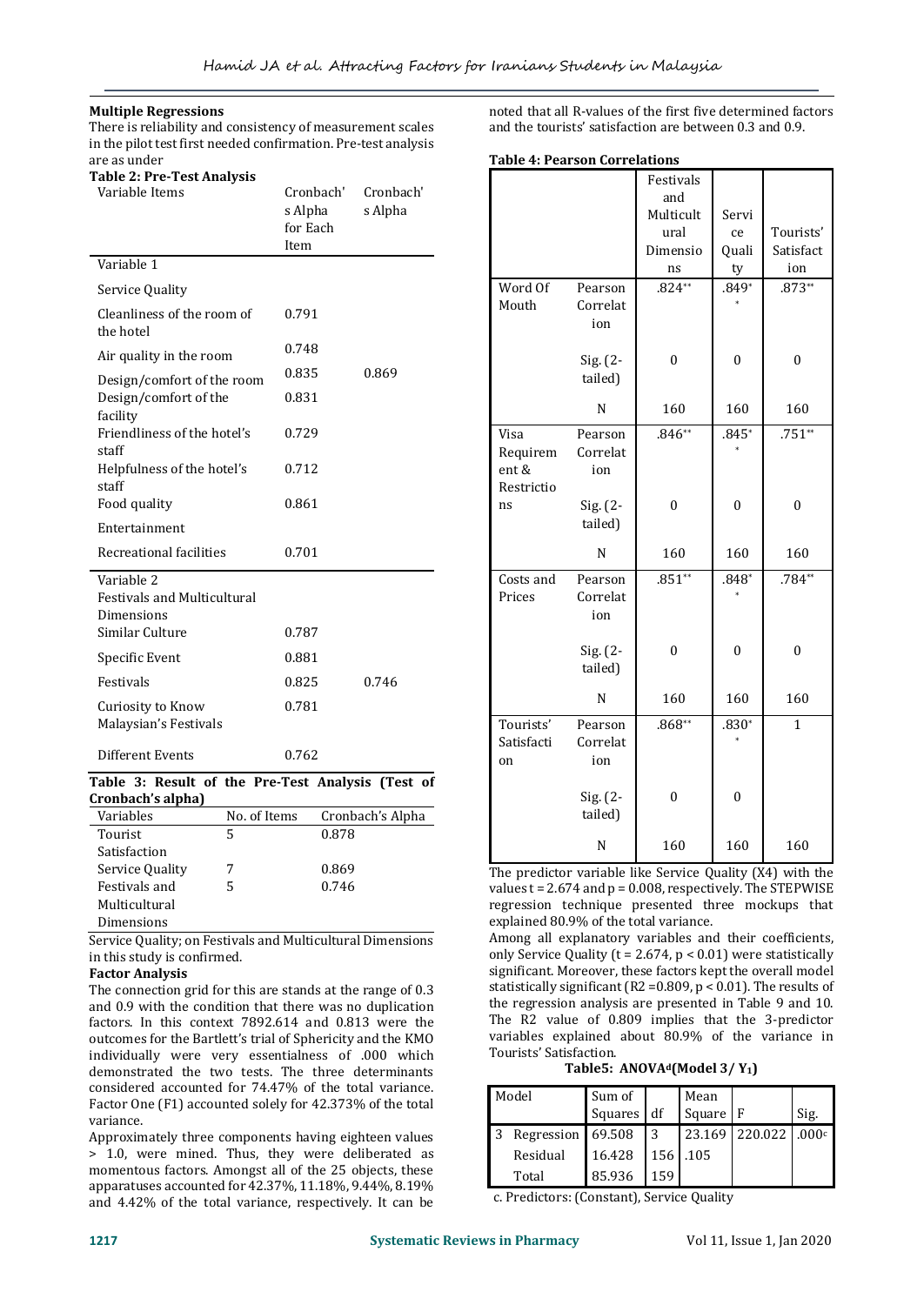## **Multiple Regressions**

There is reliability and consistency of measurement scales in the pilot test first needed confirmation. Pre-test analysis are as under

| <b>Table 2: Pre-Test Analysis</b>                              |                                          |                      |
|----------------------------------------------------------------|------------------------------------------|----------------------|
| Variable Items                                                 | Cronbach'<br>s Alpha<br>for Each<br>Item | Cronbach'<br>s Alpha |
| Variable 1                                                     |                                          |                      |
| Service Quality                                                |                                          |                      |
| Cleanliness of the room of<br>the hotel                        | 0.791                                    |                      |
| Air quality in the room                                        | 0.748                                    |                      |
| Design/comfort of the room                                     | 0.835                                    | 0.869                |
| Design/comfort of the<br>facility                              | 0.831                                    |                      |
| Friendliness of the hotel's<br>staff                           | 0.729                                    |                      |
| Helpfulness of the hotel's<br>staff                            | 0.712                                    |                      |
| Food quality                                                   | 0.861                                    |                      |
| Entertainment                                                  |                                          |                      |
| Recreational facilities                                        | 0.701                                    |                      |
| Variable 2<br><b>Festivals and Multicultural</b><br>Dimensions |                                          |                      |
| Similar Culture                                                | 0.787                                    |                      |
| Specific Event                                                 | 0.881                                    |                      |
| Festivals                                                      | 0.825                                    | 0.746                |
| Curiosity to Know<br>Malaysian's Festivals                     | 0.781                                    |                      |
| Different Events                                               | 0.762                                    |                      |

## **Table 3: Result of the Pre-Test Analysis (Test of Cronbach's alpha)**

| Variables       | No. of Items | Cronbach's Alpha |  |
|-----------------|--------------|------------------|--|
| Tourist         | 5            | 0.878            |  |
| Satisfaction    |              |                  |  |
| Service Quality | 7            | 0.869            |  |
| Festivals and   | 5            | 0.746            |  |
| Multicultural   |              |                  |  |
| Dimensions      |              |                  |  |

Service Quality; on Festivals and Multicultural Dimensions in this study is confirmed.

#### **Factor Analysis**

The connection grid for this are stands at the range of 0.3 and 0.9 with the condition that there was no duplication factors. In this context 7892.614 and 0.813 were the outcomes for the Bartlett's trial of Sphericity and the KMO individually were very essentialness of .000 which demonstrated the two tests. The three determinants considered accounted for 74.47% of the total variance. Factor One (F1) accounted solely for 42.373% of the total variance.

Approximately three components having eighteen values > 1.0, were mined. Thus, they were deliberated as momentous factors. Amongst all of the 25 objects, these apparatuses accounted for 42.37%, 11.18%, 9.44%, 8.19% and 4.42% of the total variance, respectively. It can be

noted that all R-values of the first five determined factors and the tourists' satisfaction are between 0.3 and 0.9.

#### **Table 4: Pearson Correlations**

|                                         |                            | Festivals        |              |                |
|-----------------------------------------|----------------------------|------------------|--------------|----------------|
|                                         |                            | and              |              |                |
|                                         |                            | Multicult        | Servi        |                |
|                                         |                            | ural             | ce           | Tourists'      |
|                                         |                            | Dimensio         | Quali        | Satisfact      |
|                                         |                            | ns               | ty           | ion            |
| Word Of<br>Mouth                        | Pearson<br>Correlat<br>ion | $.824**$         | $.849*$      | $.873**$       |
|                                         | Sig. (2-<br>tailed)        | $\mathbf{0}$     | $\mathbf{0}$ | $\mathbf{0}$   |
|                                         | N                          | 160              | 160          | 160            |
| Visa<br>Requirem<br>ent &<br>Restrictio | Pearson<br>Correlat<br>ion | $.846**$         | $.845*$      | $.751**$       |
| ns                                      | Sig. (2-<br>tailed)        | $\mathbf{0}$     | $\mathbf{0}$ | $\mathbf{0}$   |
|                                         | N                          | 160              | 160          | 160            |
| Costs and<br>Prices                     | Pearson<br>Correlat<br>ion | $.851**$         | $.848*$      | $.784**$       |
|                                         | Sig. (2-<br>tailed)        | $\mathbf{0}$     | $\mathbf{0}$ | $\mathbf{0}$   |
|                                         | N                          | 160              | 160          | 160            |
| Tourists'<br>Satisfacti<br>on           | Pearson<br>Correlat<br>ion | $.868**$         | $.830*$      | $\overline{1}$ |
|                                         | Sig. (2-<br>tailed)        | $\boldsymbol{0}$ | $\theta$     |                |
|                                         | N                          | 160              | 160          | 160            |

The predictor variable like Service Quality (X4) with the values  $t = 2.674$  and  $p = 0.008$ , respectively. The STEPWISE regression technique presented three mockups that explained 80.9% of the total variance.

Among all explanatory variables and their coefficients, only Service Quality ( $t = 2.674$ ,  $p < 0.01$ ) were statistically significant. Moreover, these factors kept the overall model statistically significant (R2 =0.809, p < 0.01). The results of the regression analysis are presented in Table 9 and 10. The R2 value of 0.809 implies that the 3-predictor variables explained about 80.9% of the variance in Tourists' Satisfaction.

**Table5: ANOVAd(Model 3/ Y1)**

| Model |                   | Sum of     |     | Mean     |                      |      |
|-------|-------------------|------------|-----|----------|----------------------|------|
|       |                   | Squares df |     | Square F |                      | Sig. |
|       | Regression 69.508 |            | 3   |          | 23.169 220.022 .000c |      |
|       | Residual          | 16.428     |     | 156 .105 |                      |      |
|       | Total             | 85.936     | 159 |          |                      |      |

c. Predictors: (Constant), Service Quality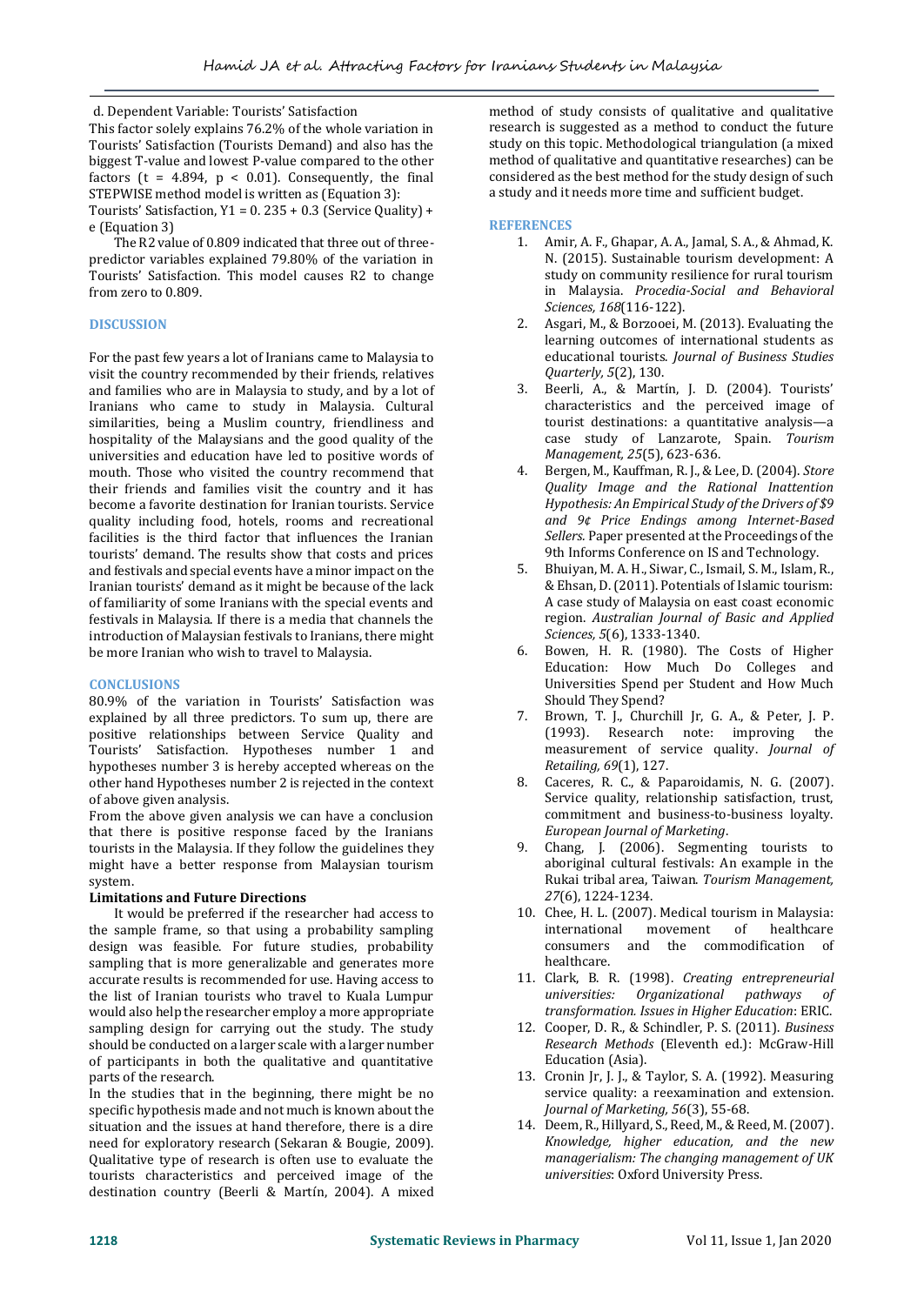d. Dependent Variable: Tourists' Satisfaction This factor solely explains 76.2% of the whole variation in Tourists' Satisfaction (Tourists Demand) and also has the biggest T-value and lowest P-value compared to the other factors (t =  $4.894$ , p < 0.01). Consequently, the final STEPWISE method model is written as (Equation 3): Tourists' Satisfaction,  $Y1 = 0.235 + 0.3$  (Service Quality) +

e (Equation 3) The R2 value of 0.809 indicated that three out of three-

predictor variables explained 79.80% of the variation in Tourists' Satisfaction. This model causes R2 to change from zero to 0.809.

# **DISCUSSION**

For the past few years a lot of Iranians came to Malaysia to visit the country recommended by their friends, relatives and families who are in Malaysia to study, and by a lot of Iranians who came to study in Malaysia. Cultural similarities, being a Muslim country, friendliness and hospitality of the Malaysians and the good quality of the universities and education have led to positive words of mouth. Those who visited the country recommend that their friends and families visit the country and it has become a favorite destination for Iranian tourists. Service quality including food, hotels, rooms and recreational facilities is the third factor that influences the Iranian tourists' demand. The results show that costs and prices and festivals and special events have a minor impact on the Iranian tourists' demand as it might be because of the lack of familiarity of some Iranians with the special events and festivals in Malaysia. If there is a media that channels the introduction of Malaysian festivals to Iranians, there might be more Iranian who wish to travel to Malaysia.

## **CONCLUSIONS**

80.9% of the variation in Tourists' Satisfaction was explained by all three predictors. To sum up, there are positive relationships between Service Quality and Tourists' Satisfaction. Hypotheses number 1 and hypotheses number 3 is hereby accepted whereas on the other hand Hypotheses number 2 is rejected in the context of above given analysis.

From the above given analysis we can have a conclusion that there is positive response faced by the Iranians tourists in the Malaysia. If they follow the guidelines they might have a better response from Malaysian tourism system.

# **Limitations and Future Directions**

 It would be preferred if the researcher had access to the sample frame, so that using a probability sampling design was feasible. For future studies, probability sampling that is more generalizable and generates more accurate results is recommended for use. Having access to the list of Iranian tourists who travel to Kuala Lumpur would also help the researcher employ a more appropriate sampling design for carrying out the study. The study should be conducted on a larger scale with a larger number of participants in both the qualitative and quantitative parts of the research.

In the studies that in the beginning, there might be no specific hypothesis made and not much is known about the situation and the issues at hand therefore, there is a dire need for exploratory research (Sekaran & Bougie, 2009). Qualitative type of research is often use to evaluate the tourists characteristics and perceived image of the destination country (Beerli & Martín, 2004). A mixed method of study consists of qualitative and qualitative research is suggested as a method to conduct the future study on this topic. Methodological triangulation (a mixed method of qualitative and quantitative researches) can be considered as the best method for the study design of such a study and it needs more time and sufficient budget.

# **REFERENCES**

- 1. Amir, A. F., Ghapar, A. A., Jamal, S. A., & Ahmad, K. N. (2015). Sustainable tourism development: A study on community resilience for rural tourism in Malaysia. *Procedia-Social and Behavioral Sciences, 168*(116-122).
- 2. Asgari, M., & Borzooei, M. (2013). Evaluating the learning outcomes of international students as educational tourists. *Journal of Business Studies Quarterly, 5*(2), 130.
- 3. Beerli, A., & Martín, J. D. (2004). Tourists' characteristics and the perceived image of tourist destinations: a quantitative analysis—a case study of Lanzarote, Spain. *Tourism Management, 25*(5), 623-636.
- 4. Bergen, M., Kauffman, R. J., & Lee, D. (2004). *Store Quality Image and the Rational Inattention Hypothesis: An Empirical Study of the Drivers of \$9 and 9¢ Price Endings among Internet-Based Sellers.* Paper presented at the Proceedings of the 9th Informs Conference on IS and Technology.
- 5. Bhuiyan, M. A. H., Siwar, C., Ismail, S. M., Islam, R., & Ehsan, D. (2011). Potentials of Islamic tourism: A case study of Malaysia on east coast economic region. *Australian Journal of Basic and Applied Sciences, 5*(6), 1333-1340.
- 6. Bowen, H. R. (1980). The Costs of Higher Education: How Much Do Colleges and Universities Spend per Student and How Much Should They Spend?
- 7. Brown, T. J., Churchill Jr, G. A., & Peter, J. P. (1993). Research note: improving the measurement of service quality. *Journal of Retailing, 69*(1), 127.
- 8. Caceres, R. C., & Paparoidamis, N. G. (2007). Service quality, relationship satisfaction, trust, commitment and business‐to‐business loyalty. *European Journal of Marketing*.
- 9. Chang, J. (2006). Segmenting tourists to aboriginal cultural festivals: An example in the Rukai tribal area, Taiwan. *Tourism Management, 27*(6), 1224-1234.
- 10. Chee, H. L. (2007). Medical tourism in Malaysia: international movement of healthcare consumers and the commodification of healthcare.
- 11. Clark, B. R. (1998). *Creating entrepreneurial universities: Organizational pathways transformation. Issues in Higher Education*: ERIC.
- 12. Cooper, D. R., & Schindler, P. S. (2011). *Business Research Methods* (Eleventh ed.): McGraw-Hill Education (Asia).
- 13. Cronin Jr, J. J., & Taylor, S. A. (1992). Measuring service quality: a reexamination and extension. *Journal of Marketing, 56*(3), 55-68.
- 14. Deem, R., Hillyard, S., Reed, M., & Reed, M. (2007). *Knowledge, higher education, and the new managerialism: The changing management of UK universities*: Oxford University Press.